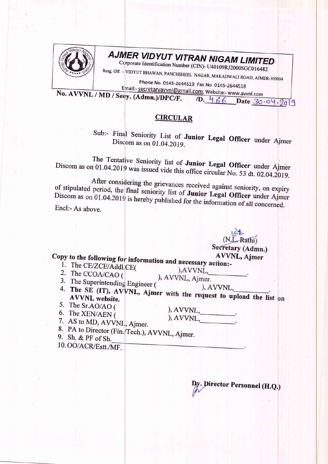

## AJMER VIDYUT VITRAN NIGAM LIMITED

Corporate Identification Number (CIN)- U40109RJ2000SGC016482

Resg. Off. :- VIDYUT BHAWAN, PANCHSHEEL NAGAR, MAKADWALI ROAD, AJMER-305004

Phone No. 0145-2644519 Fax No. 0145-2644518

Email:- secretaryavvnl@gmail.com, Website:- www.avvnl.com No. AVVNL / MD / Secy. (Admn.)/DPC/F. 1D. 466 Date 30.04.2019

## **CIRCULAR**

Sub:- Final Seniority List of Junior Legal Officer under Ajmer Discom as on 01.04.2019.

The Tentative Seniority list of Junior Legal Officer under Ajmer Discom as on 01.04.2019 was issued vide this office circular No. 53 dt. 02.04.2019.

After considering the grievances received against seniority, on expiry of stipulated period, the final seniority list of Junior Legal Officer under Ajmer Discom as on 01.04.2019 is hereby published for the information of all concerned.

Encl:- As above.

|                                                              | $(1)$ . Adull                                                    |
|--------------------------------------------------------------|------------------------------------------------------------------|
|                                                              | Secretary (Admn.)                                                |
| Copy to the following for information and necessary action:- | AVVNL, Ajmer                                                     |
|                                                              |                                                                  |
| 1. The CE/ZCE/Addl.CE(                                       | ). AVVNL,                                                        |
| 2. The CCOA/CAO (                                            |                                                                  |
|                                                              | ), AVVNL, Ajmer.                                                 |
| 3. The Superintending Engineer (                             |                                                                  |
|                                                              | ). AVVNL,                                                        |
| <b>AVVNL</b> website.                                        | 4. The SE (IT), AVVNL, Ajmer with the request to upload the list |
| 5. The Sr.AO/AO (                                            |                                                                  |
|                                                              | $AVVNL$ ,                                                        |
| 6. The XEN/AEN (                                             | ), AVVNL,                                                        |
| 7. AS to MD, AVVNL, Ajmer.                                   |                                                                  |
| 8. PA to Director (Fin./Tech.). AVVNI. Aimer                 |                                                                  |
|                                                              |                                                                  |

9. Sh. & PF of Sh.

10. OO/ACR/Estt./MF.

Director Personnel (H.Q.)

 $n \rightarrow \infty$ 

on